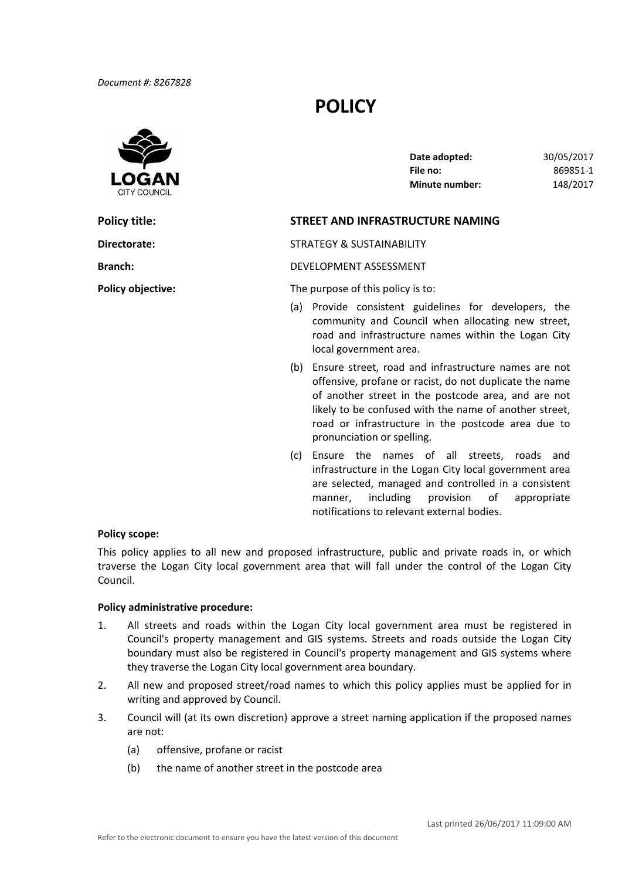# **POLICY**



| Date adopted:         | 30/05/2017 |
|-----------------------|------------|
| File no:              | 869851-1   |
| <b>Minute number:</b> | 148/2017   |

# **Policy title: STREET AND INFRASTRUCTURE NAMING**

**Directorate:** STRATEGY & SUSTAINABILITY

**Branch:** DEVELOPMENT ASSESSMENT

**Policy objective:** The purpose of this policy is to:

- (a) Provide consistent guidelines for developers, the community and Council when allocating new street, road and infrastructure names within the Logan City local government area.
- (b) Ensure street, road and infrastructure names are not offensive, profane or racist, do not duplicate the name of another street in the postcode area, and are not likely to be confused with the name of another street, road or infrastructure in the postcode area due to pronunciation or spelling.
- (c) Ensure the names of all streets, roads and infrastructure in the Logan City local government area are selected, managed and controlled in a consistent manner, including provision of notifications to relevant external bodies. appropriate

## **Policy scope:**

 This policy applies to all new and proposed infrastructure, public and private roads in, or which traverse the Logan City local government area that will fall under the control of the Logan City Council.

#### **Policy administrative procedure:**

- 1. All streets and roads within the Logan City local government area must be registered in Council's property management and GIS systems. Streets and roads outside the Logan City boundary must also be registered in Council's property management and GIS systems where they traverse the Logan City local government area boundary.
- 2. All new and proposed street/road names to which this policy applies must be applied for in writing and approved by Council.
- 3. Council will (at its own discretion) approve a street naming application if the proposed names are not:
	- (a) offensive, profane or racist
	- (b) the name of another street in the postcode area